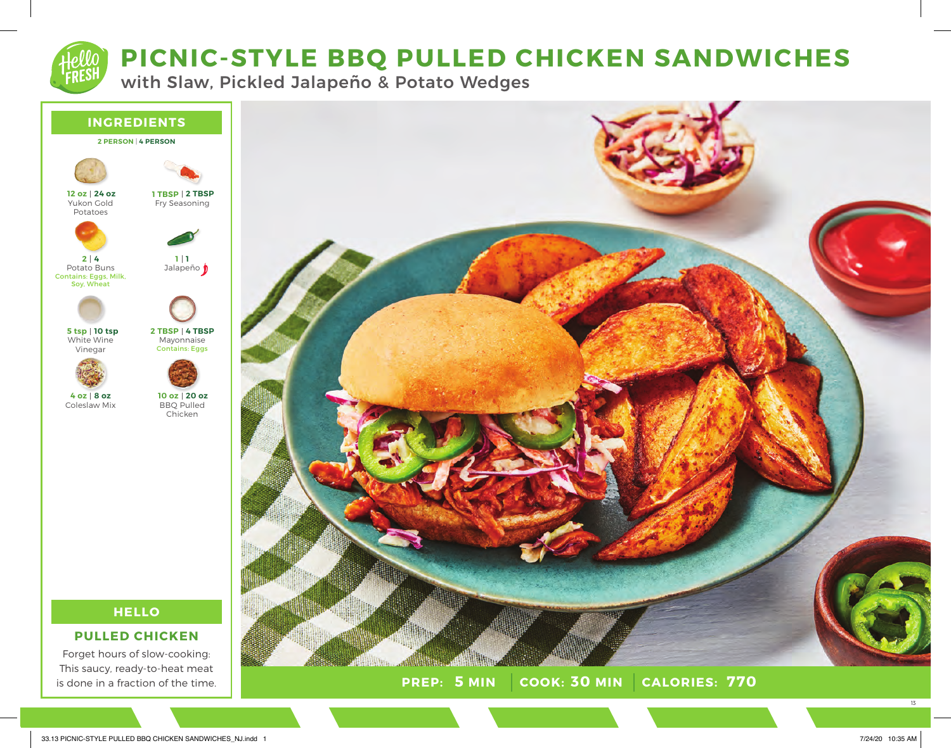# **PICNIC-STYLE BBQ PULLED CHICKEN SANDWICHES**

with Slaw, Pickled Jalapeño & Potato Wedges



33.13 PICNIC-STYLE PULLED BBQ CHICKEN SANDWICHES\_NJ.indd 1 7/24/20 10:35 AM

13